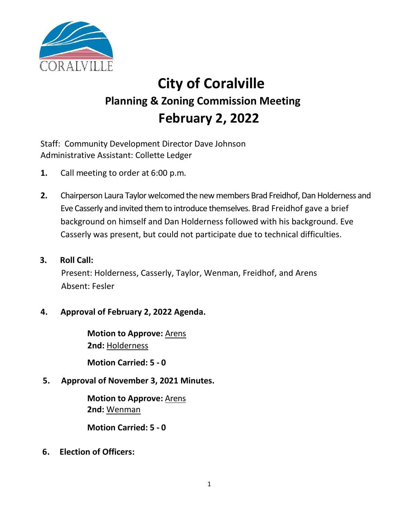

# **City of Coralville Planning & Zoning Commission Meeting February 2, 2022**

Staff: Community Development Director Dave Johnson Administrative Assistant: Collette Ledger

- **1.** Call meeting to order at 6:00 p.m.
- **2.** Chairperson Laura Taylor welcomed the new members Brad Freidhof, Dan Holderness and Eve Casserly and invited them to introduce themselves. Brad Freidhof gave a brief background on himself and Dan Holderness followed with his background. Eve Casserly was present, but could not participate due to technical difficulties.
- **3. Roll Call:** Present: Holderness, Casserly, Taylor, Wenman, Freidhof, and Arens Absent: Fesler

## **4. Approval of February 2, 2022 Agenda.**

**Motion to Approve:** Arens **2nd:** Holderness

**Motion Carried: 5 - 0**

**5. Approval of November 3, 2021 Minutes.**

**Motion to Approve:** Arens **2nd:** Wenman

**Motion Carried: 5 - 0**

**6. Election of Officers:**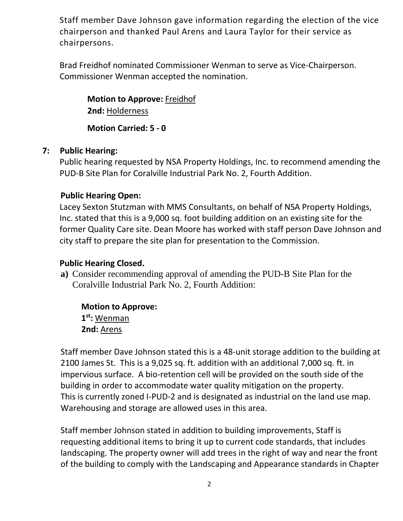Staff member Dave Johnson gave information regarding the election of the vice chairperson and thanked Paul Arens and Laura Taylor for their service as chairpersons.

Brad Freidhof nominated Commissioner Wenman to serve as Vice-Chairperson. Commissioner Wenman accepted the nomination.

**Motion to Approve:** Freidhof **2nd:** Holderness

**Motion Carried: 5 - 0** 

### **7: Public Hearing:**

Public hearing requested by NSA Property Holdings, Inc. to recommend amending the PUD-B Site Plan for Coralville Industrial Park No. 2, Fourth Addition.

#### **Public Hearing Open:**

Lacey Sexton Stutzman with MMS Consultants, on behalf of NSA Property Holdings, Inc. stated that this is a 9,000 sq. foot building addition on an existing site for the former Quality Care site. Dean Moore has worked with staff person Dave Johnson and city staff to prepare the site plan for presentation to the Commission.

#### **Public Hearing Closed.**

**a)** Consider recommending approval of amending the PUD-B Site Plan for the Coralville Industrial Park No. 2, Fourth Addition:

**Motion to Approve: 1 st:** Wenman **2nd:** Arens

Staff member Dave Johnson stated this is a 48-unit storage addition to the building at 2100 James St. This is a 9,025 sq. ft. addition with an additional 7,000 sq. ft. in impervious surface. A bio-retention cell will be provided on the south side of the building in order to accommodate water quality mitigation on the property. This is currently zoned I-PUD-2 and is designated as industrial on the land use map. Warehousing and storage are allowed uses in this area.

Staff member Johnson stated in addition to building improvements, Staff is requesting additional items to bring it up to current code standards, that includes landscaping. The property owner will add trees in the right of way and near the front of the building to comply with the Landscaping and Appearance standards in Chapter